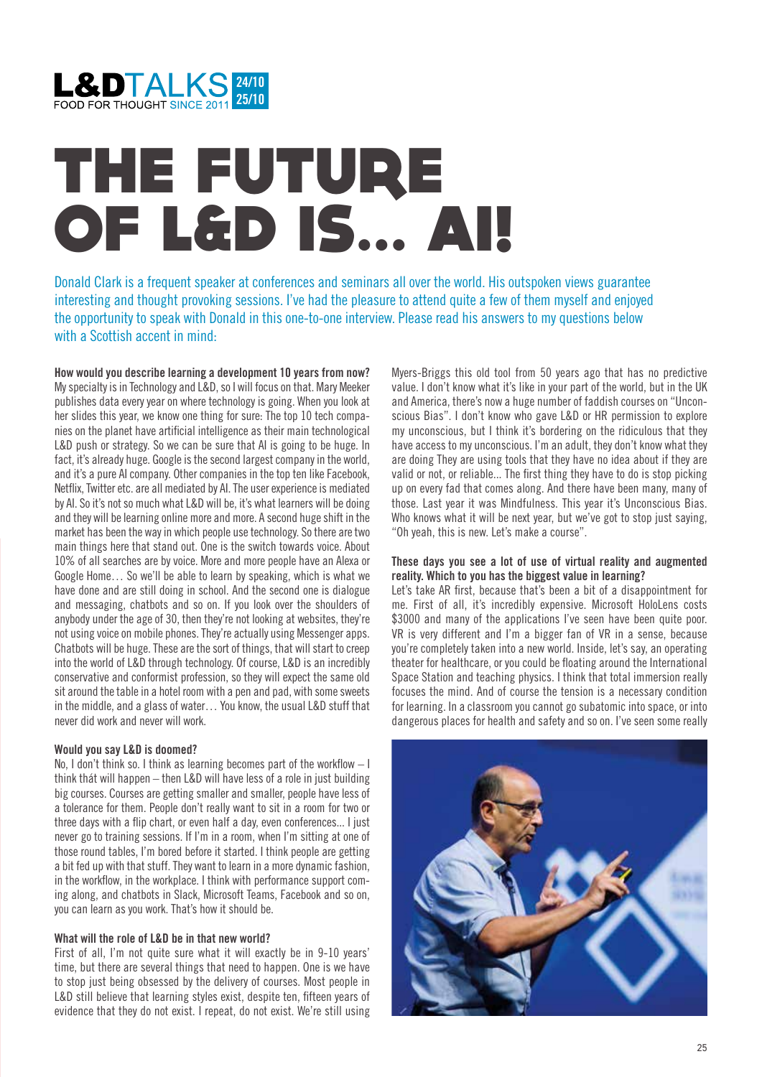

# THE FUTURE OF L&D IS... AI!

Donald Clark is a frequent speaker at conferences and seminars all over the world. His outspoken views guarantee interesting and thought provoking sessions. I've had the pleasure to attend quite a few of them myself and enjoyed the opportunity to speak with Donald in this one-to-one interview. Please read his answers to my questions below with a Scottish accent in mind-

**How would you describe learning a development 10 years from now?** My specialty is in Technology and L&D, so I will focus on that. Mary Meeker publishes data every year on where technology is going. When you look at her slides this year, we know one thing for sure: The top 10 tech companies on the planet have artificial intelligence as their main technological L&D push or strategy. So we can be sure that AI is going to be huge. In fact, it's already huge. Google is the second largest company in the world, and it's a pure AI company. Other companies in the top ten like Facebook, Netflix, Twitter etc. are all mediated by AI. The user experience is mediated by AI. So it's not so much what L&D will be, it's what learners will be doing and they will be learning online more and more. A second huge shift in the market has been the way in which people use technology. So there are two main things here that stand out. One is the switch towards voice. About 10% of all searches are by voice. More and more people have an Alexa or Google Home… So we'll be able to learn by speaking, which is what we have done and are still doing in school. And the second one is dialogue and messaging, chatbots and so on. If you look over the shoulders of anybody under the age of 30, then they're not looking at websites, they're not using voice on mobile phones. They're actually using Messenger apps. Chatbots will be huge. These are the sort of things, that will start to creep into the world of L&D through technology. Of course, L&D is an incredibly conservative and conformist profession, so they will expect the same old sit around the table in a hotel room with a pen and pad, with some sweets in the middle, and a glass of water… You know, the usual L&D stuff that never did work and never will work.

### **Would you say L&D is doomed?**

No, I don't think so. I think as learning becomes part of the workflow – I think thát will happen – then L&D will have less of a role in just building big courses. Courses are getting smaller and smaller, people have less of a tolerance for them. People don't really want to sit in a room for two or three days with a flip chart, or even half a day, even conferences... I just never go to training sessions. If I'm in a room, when I'm sitting at one of those round tables, I'm bored before it started. I think people are getting a bit fed up with that stuff. They want to learn in a more dynamic fashion, in the workflow, in the workplace. I think with performance support coming along, and chatbots in Slack, Microsoft Teams, Facebook and so on, you can learn as you work. That's how it should be.

### **What will the role of L&D be in that new world?**

First of all, I'm not quite sure what it will exactly be in 9-10 years' time, but there are several things that need to happen. One is we have to stop just being obsessed by the delivery of courses. Most people in L&D still believe that learning styles exist, despite ten, fifteen years of evidence that they do not exist. I repeat, do not exist. We're still using Myers-Briggs this old tool from 50 years ago that has no predictive value. I don't know what it's like in your part of the world, but in the UK and America, there's now a huge number of faddish courses on "Unconscious Bias". I don't know who gave L&D or HR permission to explore my unconscious, but I think it's bordering on the ridiculous that they have access to my unconscious. I'm an adult, they don't know what they are doing They are using tools that they have no idea about if they are valid or not, or reliable... The first thing they have to do is stop picking up on every fad that comes along. And there have been many, many of those. Last year it was Mindfulness. This year it's Unconscious Bias. Who knows what it will be next year, but we've got to stop just saying, "Oh yeah, this is new. Let's make a course".

### **These days you see a lot of use of virtual reality and augmented reality. Which to you has the biggest value in learning?**

Let's take AR first, because that's been a bit of a disappointment for me. First of all, it's incredibly expensive. Microsoft HoloLens costs \$3000 and many of the applications I've seen have been quite poor. VR is very different and I'm a bigger fan of VR in a sense, because you're completely taken into a new world. Inside, let's say, an operating theater for healthcare, or you could be floating around the International Space Station and teaching physics. I think that total immersion really focuses the mind. And of course the tension is a necessary condition for learning. In a classroom you cannot go subatomic into space, or into dangerous places for health and safety and so on. I've seen some really